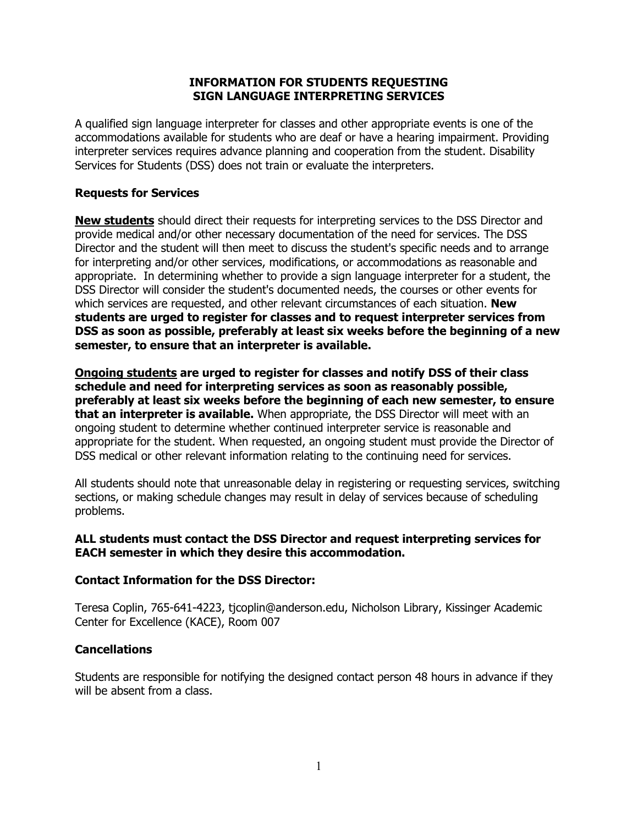# **INFORMATION FOR STUDENTS REQUESTING SIGN LANGUAGE INTERPRETING SERVICES**

A qualified sign language interpreter for classes and other appropriate events is one of the accommodations available for students who are deaf or have a hearing impairment. Providing interpreter services requires advance planning and cooperation from the student. Disability Services for Students (DSS) does not train or evaluate the interpreters.

# **Requests for Services**

**New students** should direct their requests for interpreting services to the DSS Director and provide medical and/or other necessary documentation of the need for services. The DSS Director and the student will then meet to discuss the student's specific needs and to arrange for interpreting and/or other services, modifications, or accommodations as reasonable and appropriate. In determining whether to provide a sign language interpreter for a student, the DSS Director will consider the student's documented needs, the courses or other events for which services are requested, and other relevant circumstances of each situation. **New students are urged to register for classes and to request interpreter services from DSS as soon as possible, preferably at least six weeks before the beginning of a new semester, to ensure that an interpreter is available.**

**Ongoing students are urged to register for classes and notify DSS of their class schedule and need for interpreting services as soon as reasonably possible, preferably at least six weeks before the beginning of each new semester, to ensure that an interpreter is available.** When appropriate, the DSS Director will meet with an ongoing student to determine whether continued interpreter service is reasonable and appropriate for the student. When requested, an ongoing student must provide the Director of DSS medical or other relevant information relating to the continuing need for services.

All students should note that unreasonable delay in registering or requesting services, switching sections, or making schedule changes may result in delay of services because of scheduling problems.

### **ALL students must contact the DSS Director and request interpreting services for EACH semester in which they desire this accommodation.**

### **Contact Information for the DSS Director:**

Teresa Coplin, 765-641-4223, tjcoplin@anderson.edu, Nicholson Library, Kissinger Academic Center for Excellence (KACE), Room 007

### **Cancellations**

Students are responsible for notifying the designed contact person 48 hours in advance if they will be absent from a class.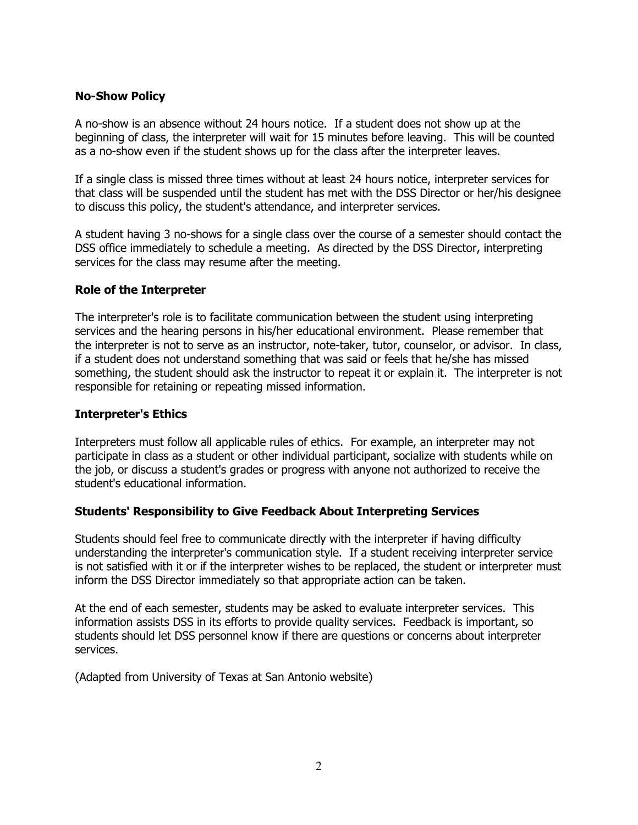# **No-Show Policy**

A no-show is an absence without 24 hours notice. If a student does not show up at the beginning of class, the interpreter will wait for 15 minutes before leaving. This will be counted as a no-show even if the student shows up for the class after the interpreter leaves.

If a single class is missed three times without at least 24 hours notice, interpreter services for that class will be suspended until the student has met with the DSS Director or her/his designee to discuss this policy, the student's attendance, and interpreter services.

A student having 3 no-shows for a single class over the course of a semester should contact the DSS office immediately to schedule a meeting. As directed by the DSS Director, interpreting services for the class may resume after the meeting.

### **Role of the Interpreter**

The interpreter's role is to facilitate communication between the student using interpreting services and the hearing persons in his/her educational environment. Please remember that the interpreter is not to serve as an instructor, note-taker, tutor, counselor, or advisor. In class, if a student does not understand something that was said or feels that he/she has missed something, the student should ask the instructor to repeat it or explain it. The interpreter is not responsible for retaining or repeating missed information.

### **Interpreter's Ethics**

Interpreters must follow all applicable rules of ethics. For example, an interpreter may not participate in class as a student or other individual participant, socialize with students while on the job, or discuss a student's grades or progress with anyone not authorized to receive the student's educational information.

### **Students' Responsibility to Give Feedback About Interpreting Services**

Students should feel free to communicate directly with the interpreter if having difficulty understanding the interpreter's communication style. If a student receiving interpreter service is not satisfied with it or if the interpreter wishes to be replaced, the student or interpreter must inform the DSS Director immediately so that appropriate action can be taken.

At the end of each semester, students may be asked to evaluate interpreter services. This information assists DSS in its efforts to provide quality services. Feedback is important, so students should let DSS personnel know if there are questions or concerns about interpreter services.

(Adapted from University of Texas at San Antonio website)